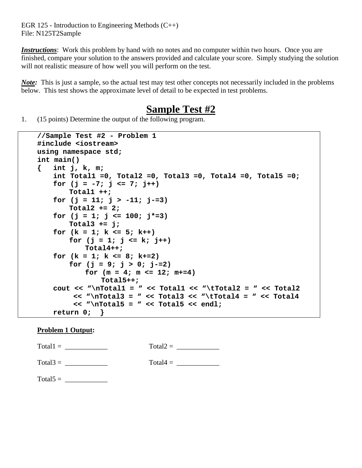EGR 125 - Introduction to Engineering Methods (C++) File: N125T2Sample

*Instructions*: Work this problem by hand with no notes and no computer within two hours. Once you are finished, compare your solution to the answers provided and calculate your score. Simply studying the solution will not realistic measure of how well you will perform on the test.

*Note*: This is just a sample, so the actual test may test other concepts not necessarily included in the problems below. This test shows the approximate level of detail to be expected in test problems.

# **Sample Test #2**

1. (15 points) Determine the output of the following program.

```
//Sample Test #2 - Problem 1
#include <iostream>
using namespace std;
int main()
{ int j, k, m;
   int Total1 =0, Total2 =0, Total3 =0, Total4 =0, Total5 =0;
   for (j = -7; j <= 7; j++)
       Total1 ++;
   for (j = 11; j > -11; j-=3)
       Total2 += 2;
   for (j = 1; j <= 100; j*=3)
       Total3 += j;
   for (k = 1; k <= 5; k++)
       for (j = 1; j <= k; j++)
           Total4++;
   for (k = 1; k <= 8; k+=2)
       for (j = 9; j > 0; j = 2)for (m = 4; m \le 12; m+1)Total5++;
   cout << "\nTotal1 = " << Total1 << "\tTotal2 = " << Total2
        << "\nTotal3 = " << Total3 << "\tTotal4 = " << Total4
        << "\nTotal5 = " << Total5 << endl;
   return 0; }
```
## **Problem 1 Output:**

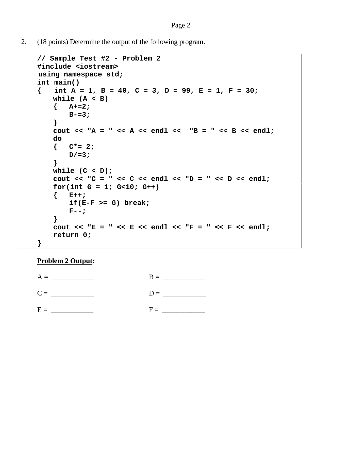2. (18 points) Determine the output of the following program.

```
// Sample Test #2 - Problem 2
#include <iostream>
 using namespace std;
int main()
   { int A = 1, B = 40, C = 3, D = 99, E = 1, F = 30;
   while (A < B)
   { A+=2;
       B-=3;
   }
   cout << "A = " << A << endl << "B = " << B << endl;
   do
   { C*= 2;
       D/=3;
   }
   while (C < D);
   cout << "C = " << C << end1 << "D = " << D << end1;for(int G = 1; G<10; G++)
   { E++;
       if(E-F >= G) break;
       F--;
   }
   cout << "E = " << E << endl << "F = " << F << endl;
   return 0;
}
```
#### **Problem 2 Output:**

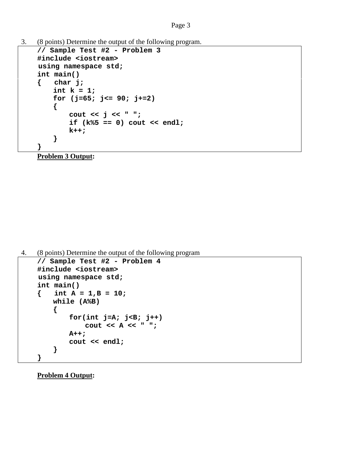#### Page 3

3. (8 points) Determine the output of the following program.

```
// Sample Test #2 - Problem 3
#include <iostream>
 using namespace std;
int main()
{ char j;
   int k = 1;
   for (j=65; j<= 90; j+=2)
    { 
       cout << j << " ";
       if (k%5 == 0) cout << endl;
       k++;
    }
}
```
**Problem 3 Output:**

4. (8 points) Determine the output of the following program

```
// Sample Test #2 - Problem 4
#include <iostream>
 using namespace std;
int main()
{ int A = 1,B = 10;
   while (A%B)
    { 
       for(int j=A; j<B; j++)
           cout << A << " ";
       A++;
       cout << endl;
    }
}
```
**Problem 4 Output:**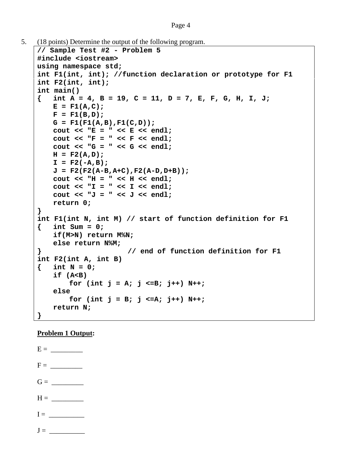```
Page 4
```

```
5. (18 points) Determine the output of the following program.
```

```
// Sample Test #2 - Problem 5
#include <iostream>
using namespace std;
int F1(int, int); //function declaration or prototype for F1
int F2(int, int);
int main()
{ int A = 4, B = 19, C = 11, D = 7, E, F, G, H, I, J;
   E = F1(A,C);F = F1(B,D);G = F1(F1(A,B),F1(C,D));
   cout << "E = " << E << endl;
   cout << "F = " << F << endl;
   cout << "G = " << G << endl;
   H = F2(A,D);
   I = F2(-A,B);J = F2(F2(A-B,A+C),F2(A-D,D+B));
   cout << "H = " << H << endl;
   cout << "I = " << I << endl;
   cout << "J = " << J << endl;
   return 0;
}
int F1(int N, int M) // start of function definition for F1
{ int Sum = 0;
   if(M>N) return M%N;
   else return N%M; 
} // end of function definition for F1
int F2(int A, int B) 
{ int N = 0;
   if (A<B)
       for (int j = A; j <=B; j++) N++;
   else
       for (int j = B; j \le A; j++) N++;
   return N;
}
```
# **Problem 1 Output:**

 $E = \_$  $F = \_$  $G = \begin{array}{c} \hline \end{array}$  $H = \_$  $I = \_$ 

 $J =$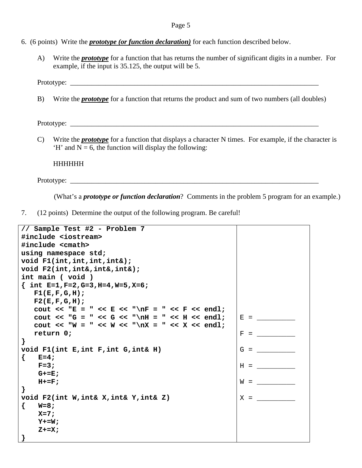- 6. (6 points) Write the *prototype (or function declaration)* for each function described below.
	- A) Write the *prototype* for a function that has returns the number of significant digits in a number. For example, if the input is 35.125, the output will be 5.

Prototype:

B) Write the *prototype* for a function that returns the product and sum of two numbers (all doubles)

Prototype: \_\_\_\_\_\_\_\_\_\_\_\_\_\_\_\_\_\_\_\_\_\_\_\_\_\_\_\_\_\_\_\_\_\_\_\_\_\_\_\_\_\_\_\_\_\_\_\_\_\_\_\_\_\_\_\_\_\_\_\_\_\_\_\_\_\_\_\_\_\_

C) Write the *prototype* for a function that displays a character N times. For example, if the character is 'H' and  $N = 6$ , the function will display the following:

HHHHHH

Prototype: \_\_\_\_\_\_\_\_\_\_\_\_\_\_\_\_\_\_\_\_\_\_\_\_\_\_\_\_\_\_\_\_\_\_\_\_\_\_\_\_\_\_\_\_\_\_\_\_\_\_\_\_\_\_\_\_\_\_\_\_\_\_\_\_\_\_\_\_\_\_

(What's a *prototype or function declaration*? Comments in the problem 5 program for an example.)

7. (12 points) Determine the output of the following program. Be careful!

| // Sample Test #2 - Problem 7                 |          |  |
|-----------------------------------------------|----------|--|
| #include <iostream></iostream>                |          |  |
| #include <cmath></cmath>                      |          |  |
| using namespace std;                          |          |  |
| void $F1(int, int, int, int)$ ;               |          |  |
| void F2(int, int&, int&, int&);               |          |  |
| int main ( void )                             |          |  |
| $\{$ int E=1, F=2, G=3, H=4, W=5, X=6;        |          |  |
| F1(E, F, G, H);                               |          |  |
| F2(E,F,G,H);                                  |          |  |
| Cout << "E = " << E << "\nF = " << F << endl; |          |  |
| cout << "G = " << G << "\nH = " << H << endl; | $E =$    |  |
| cout << "W = " << W << "\nX = " << X << endl; |          |  |
| return 0;                                     | F        |  |
| }                                             |          |  |
| void F1(int E, int F, int G, int& H)          | G<br>$=$ |  |
| {<br>$E=4;$                                   |          |  |
| $F = 3;$                                      | $H =$    |  |
| $G+=E;$                                       |          |  |
| $H+=F$ ;                                      | $W =$    |  |
| }                                             |          |  |
| void F2(int W, int& X, int& Y, int& Z)        | $X =$    |  |
| $W = 8;$<br>₹<br>$X=7;$                       |          |  |
| $Y+=W;$                                       |          |  |
| $Z+=X;$                                       |          |  |
| ł                                             |          |  |
|                                               |          |  |